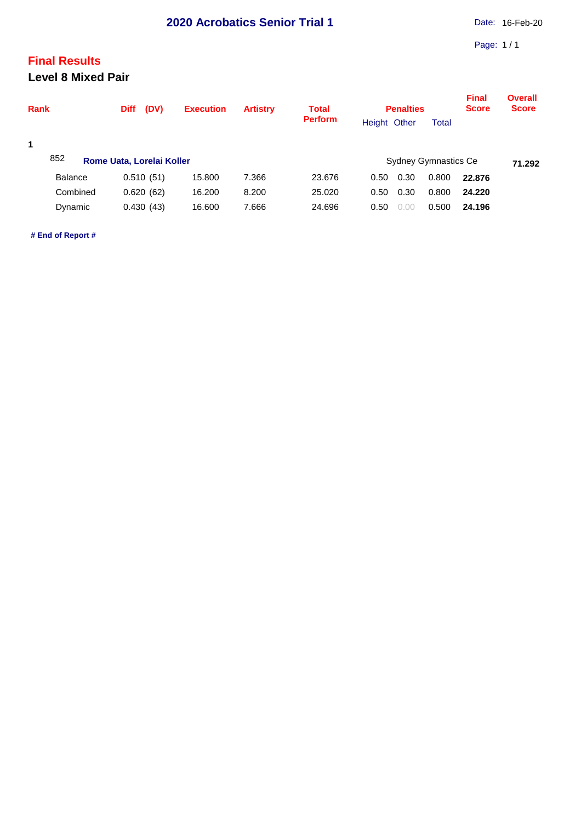## **Final Results**

**Level 8 Mixed Pair**

| <b>Rank</b> |                | (DV)<br><b>Diff</b>       | <b>Execution</b> | <b>Artistry</b> | <b>Total</b>                          | <b>Penalties</b> |        |              | <b>Final</b><br><b>Score</b> | <b>Overall</b><br><b>Score</b> |
|-------------|----------------|---------------------------|------------------|-----------------|---------------------------------------|------------------|--------|--------------|------------------------------|--------------------------------|
|             |                |                           |                  |                 | <b>Perform</b>                        | Height Other     |        | <b>Total</b> |                              |                                |
| 1           |                |                           |                  |                 |                                       |                  |        |              |                              |                                |
|             | 852            | Rome Uata, Lorelai Koller |                  |                 | <b>Sydney Gymnastics Ce</b><br>71.292 |                  |        |              |                              |                                |
|             | <b>Balance</b> | 0.510(51)                 | 15.800           | 7.366           | 23.676                                | 0.50             | 0.30   | 0.800        | 22.876                       |                                |
|             | Combined       | 0.620(62)                 | 16.200           | 8.200           | 25,020                                | 0.50             | 0.30   | 0.800        | 24.220                       |                                |
|             | Dynamic        | 0.430(43)                 | 16.600           | 7.666           | 24.696                                | 0.50             | (0.00) | 0.500        | 24.196                       |                                |

**# End of Report #**